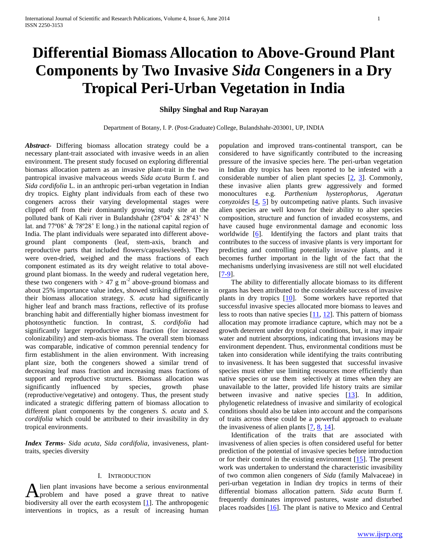# **Differential Biomass Allocation to Above-Ground Plant Components by Two Invasive** *Sida* **Congeners in a Dry Tropical Peri-Urban Vegetation in India**

## **Shilpy Singhal and Rup Narayan**

Department of Botany, I. P. (Post-Graduate) College, Bulandshahr-203001, UP, INDIA

*Abstract***-** Differing biomass allocation strategy could be a necessary plant-trait associated with invasive weeds in an alien environment. The present study focused on exploring differential biomass allocation pattern as an invasive plant-trait in the two pantropical invasive malvaceous weeds *Sida acuta* Burm f. and *Sida cordifolia* L. in an anthropic peri-urban vegetation in Indian dry tropics. Eighty plant individuals from each of these two congeners across their varying developmental stages were clipped off from their dominantly growing study site at the polluted bank of Kali river in Bulandshahr (28º04' & 28º43' N lat. and 77º08' & 78º28' E long.) in the national capital region of India. The plant individuals were separated into different aboveground plant components (leaf, stem-axis, branch and reproductive parts that included flowers/capsules/seeds). They were oven-dried, weighed and the mass fractions of each component estimated as its dry weight relative to total aboveground plant biomass. In the weedy and ruderal vegetation here, these two congeners with  $> 47$  g m<sup>-2</sup> above-ground biomass and about 25% importance value index, showed striking difference in their biomass allocation strategy. *S. acuta* had significantly higher leaf and branch mass fractions, reflective of its profuse branching habit and differentially higher biomass investment for photosynthetic function. In contrast, *S. cordifolia* had significantly larger reproductive mass fraction (for increased colonizability) and stem-axis biomass. The overall stem biomass was comparable, indicative of common perennial tendency for firm establishment in the alien environment. With increasing plant size, both the congeners showed a similar trend of decreasing leaf mass fraction and increasing mass fractions of support and reproductive structures. Biomass allocation was significantly influenced by species, growth phase (reproductive/vegetative) and ontogeny. Thus, the present study indicated a strategic differing pattern of biomass allocation to different plant components by the congeners *S. acuta* and *S. cordifolia* which could be attributed to their invasibility in dry tropical environments.

*Index Terms*- *Sida acuta*, *Sida cordifolia*, invasiveness, planttraits, species diversity

# I. INTRODUCTION

lien plant invasions have become a serious environmental A lien plant invasions have become a serious environmental<br>
problem and have posed a grave threat to native biodiversity all over the earth ecosystem  $[1]$ . The anthropogenic interventions in tropics, as a result of increasing human

population and improved trans-continental transport, can be considered to have significantly contributed to the increasing pressure of the invasive species here. The peri-urban vegetation in Indian dry tropics has been reported to be infested with a considerable number of alien plant species [2, 3]. Commonly, these invasive alien plants grew aggressively and formed monocultures e.g. *Parthenium hysterophorus, Ageratun conyzoides* [4, 5] by outcompeting native plants. Such invasive alien species are well known for their ability to alter species composition, structure and function of invaded ecosystems, and have caused huge environmental damage and economic loss worldwide  $[6]$ . Identifying the factors and plant traits that contributes to the success of invasive plants is very important for predicting and controlling potentially invasive plants, and it becomes further important in the light of the fact that the mechanisms underlying invasiveness are still not well elucidated [7-9].

 The ability to differentially allocate biomass to its different organs has been attributed to the considerable success of invasive plants in dry tropics [10]. Some workers have reported that successful invasive species allocated more biomass to leaves and less to roots than native species  $[11, 12]$ . This pattern of biomass allocation may promote irradiance capture, which may not be a growth deterrent under dry tropical conditions, but, it may impair water and nutrient absorptions, indicating that invasions may be environment dependent. Thus, environmental conditions must be taken into consideration while identifying the traits contributing to invasiveness. It has been suggested that successful invasive species must either use limiting resources more efficiently than native species or use them selectively at times when they are unavailable to the latter, provided life history traits are similar between invasive and native species [13]. In addition, phylogenetic relatedness of invasive and similarity of ecological conditions should also be taken into account and the comparisons of traits across these could be a powerful approach to evaluate the invasiveness of alien plants  $[7, 8, 14]$ .

 Identification of the traits that are associated with invasiveness of alien species is often considered useful for better prediction of the potential of invasive species before introduction or for their control in the existing environment [15]. The present work was undertaken to understand the characteristic invasibility of two common alien congeners of *Sida* (family Malvaceae) in peri-urban vegetation in Indian dry tropics in terms of their differential biomass allocation pattern. *Sida acuta* Burm f. frequently dominates improved pastures, waste and disturbed places roadsides [16]. The plant is native to Mexico and Central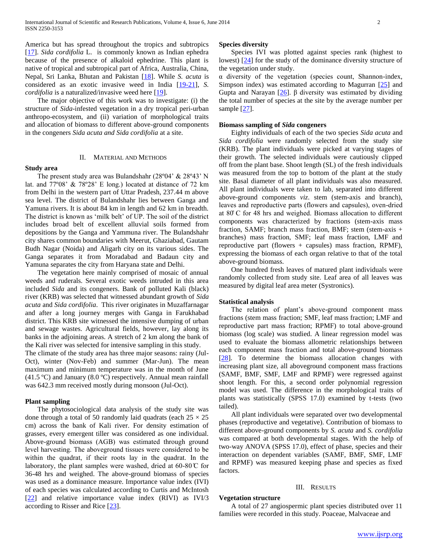America but has spread throughout the tropics and subtropics [17]. *Sida cordifolia* L. is commonly known as Indian ephedra because of the presence of alkaloid ephedrine. This plant is native of tropical and subtropical part of Africa, Australia, China, Nepal, Sri Lanka, Bhutan and Pakistan [18]. While *S. acuta* is considered as an exotic invasive weed in India [19-21], *S. cordifolia* is a naturalized/invasive weed here [19].

 The major objective of this work was to investigate: (i) the structure of *Sida*-infested vegetation in a dry tropical peri-urban anthropo-ecosystem, and (ii) variation of morphological traits and allocation of biomass to different above-ground components in the congeners *Sida acuta and Sida cordifolia* at a site.

## II. MATERIAL AND METHODS

## **Study area**

 The present study area was Bulandshahr (28º04' & 28º43' N lat. and 77º08' & 78º28' E long.) located at distance of 72 km from Delhi in the western part of Uttar Pradesh, 237.44 m above sea level. The district of Bulandshahr lies between Ganga and Yamuna rivers. It is about 84 km in length and 62 km in breadth. The district is known as 'milk belt' of UP. The soil of the district includes broad belt of excellent alluvial soils formed from depositions by the Ganga and Yammuna river. The Bulandshahr city shares common boundaries with Meerut, Ghaziabad, Gautam Budh Nagar (Noida) and Aligarh city on its various sides. The Ganga separates it from Moradabad and Badaun city and Yamuna separates the city from Haryana state and Delhi.

 The vegetation here mainly comprised of mosaic of annual weeds and ruderals. Several exotic weeds intruded in this area included *Sida* and its congeners. Bank of polluted Kali (black) river (KRB) was selected that witnessed abundant growth of *Sida acuta* and *Sida cordifolia*. This river originates in Muzaffarnagar and after a long journey merges with Ganga in Farukhabad district. This KRB site witnessed the intensive dumping of urban and sewage wastes. Agricultural fields, however, lay along its banks in the adjoining areas. A stretch of 2 km along the bank of the Kali river was selected for intensive sampling in this study.

The climate of the study area has three major seasons: rainy (Jul-Oct), winter (Nov-Feb) and summer (Mar-Jun). The mean maximum and minimum temperature was in the month of June (41.5 ºC) and January (8.0 ºC) respectively. Annual mean rainfall was 642.3 mm received mostly during monsoon (Jul-Oct).

#### **Plant sampling**

 The phytosociological data analysis of the study site was done through a total of 50 randomly laid quadrats (each  $25 \times 25$ ) cm) across the bank of Kali river. For density estimation of grasses, every emergent tiller was considered as one individual. Above-ground biomass (AGB) was estimated through ground level harvesting. The aboveground tissues were considered to be within the quadrat, if their roots lay in the quadrat. In the laboratory, the plant samples were washed, dried at 60-80  $\rm C$  for 36-48 hrs and weighed. The above-ground biomass of species was used as a dominance measure. Importance value index (IVI) of each species was calculated according to Curtis and McIntosh [22] and relative importance value index (RIVI) as IVI/3 according to Risser and Rice [23].

## **Species diversity**

 Species IVI was plotted against species rank (highest to lowest) [24] for the study of the dominance diversity structure of the vegetation under study.

 $\alpha$  diversity of the vegetation (species count, Shannon-index, Simpson index) was estimated according to Magurran  $[25]$  and Gupta and Narayan  $[26]$ . β diversity was estimated by dividing the total number of species at the site by the average number per sample [27].

## **Biomass sampling of** *Sida* **congeners**

 Eighty individuals of each of the two species *Sida acuta* and *Sida cordifolia* were randomly selected from the study site (KRB). The plant individuals were picked at varying stages of their growth. The selected individuals were cautiously clipped off from the plant base. Shoot length (SL) of the fresh individuals was measured from the top to bottom of the plant at the study site. Basal diameter of all plant individuals was also measured. All plant individuals were taken to lab, separated into different above-ground components *viz*. stem (stem-axis and branch), leaves and reproductive parts (flowers and capsules), oven-dried at 80°C for 48 hrs and weighed. Biomass allocation to different components was characterized by fractions (stem-axis mass fraction, SAMF; branch mass fraction, BMF; stem (stem-axis + branches) mass fraction, SMF; leaf mass fraction, LMF and reproductive part (flowers  $+$  capsules) mass fraction, RPMF), expressing the biomass of each organ relative to that of the total above-ground biomass.

 One hundred fresh leaves of matured plant individuals were randomly collected from study site. Leaf area of all leaves was measured by digital leaf area meter (Systronics).

#### **Statistical analysis**

**Vegetation structure**

The relation of plant's above-ground component mass fractions (stem mass fraction; SMF, leaf mass fraction; LMF and reproductive part mass fraction; RPMF) to total above-ground biomass (log scale) was studied. A linear regression model was used to evaluate the biomass allometric relationships between each component mass fraction and total above-ground biomass [28]. To determine the biomass allocation changes with increasing plant size, all aboveground component mass fractions (SAMF, BMF, SMF, LMF and RPMF) were regressed against shoot length. For this, a second order polynomial regression model was used. The difference in the morphological traits of plants was statistically (SPSS 17.0) examined by t-tests (two tailed).

 All plant individuals were separated over two developmental phases (reproductive and vegetative). Contribution of biomass to different above-ground components by *S. acuta* and *S. cordifolia* was compared at both developmental stages. With the help of two-way ANOVA (SPSS 17.0), effect of phase, species and their interaction on dependent variables (SAMF, BMF, SMF, LMF and RPMF) was measured keeping phase and species as fixed factors.

## III. RESULTS

 A total of 27 angiospermic plant species distributed over 11 families were recorded in this study. Poaceae, Malvaceae and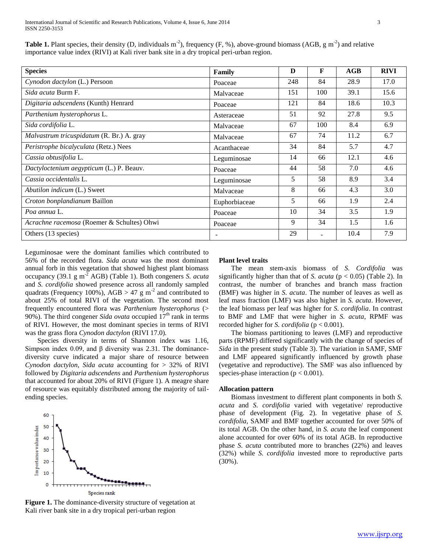**Table 1.** Plant species, their density (D, individuals  $m^2$ ), frequency (F, %), above-ground biomass (AGB, g  $m^2$ ) and relative importance value index (RIVI) at Kali river bank site in a dry tropical peri-urban region.

| <b>Species</b>                             | Family                   | D   | F   | AGB  | <b>RIVI</b> |
|--------------------------------------------|--------------------------|-----|-----|------|-------------|
| Cynodon dactylon (L.) Persoon              | Poaceae                  | 248 | 84  | 28.9 | 17.0        |
| Sida acuta Burm F.                         | Malvaceae                | 151 | 100 | 39.1 | 15.6        |
| Digitaria adscendens (Kunth) Henrard       | Poaceae                  | 121 | 84  | 18.6 | 10.3        |
| Parthenium hysterophorus L.                | Asteraceae               | 51  | 92  | 27.8 | 9.5         |
| Sida cordifolia L.                         | Malvaceae                | 67  | 100 | 8.4  | 6.9         |
| Malvastrum tricuspidatum (R. Br.) A. gray  | Malvaceae                | 67  | 74  | 11.2 | 6.7         |
| Peristrophe bicalyculata (Retz.) Nees      | Acanthaceae              | 34  | 84  | 5.7  | 4.7         |
| Cassia obtusifolia L.                      | Leguminosae              | 14  | 66  | 12.1 | 4.6         |
| Dactyloctenium aegypticum (L.) P. Beauv.   | Poaceae                  | 44  | 58  | 7.0  | 4.6         |
| Cassia occidentalis L.                     | Leguminosae              | 5   | 58  | 8.9  | 3.4         |
| Abutilon indicum (L.) Sweet                | Malvaceae                | 8   | 66  | 4.3  | 3.0         |
| Croton bonplandianum Baillon               | Euphorbiaceae            | 5   | 66  | 1.9  | 2.4         |
| Poa annua L.                               | Poaceae                  | 10  | 34  | 3.5  | 1.9         |
| Acrachne racemosa (Roemer & Schultes) Ohwi | Poaceae                  | 9   | 34  | 1.5  | 1.6         |
| Others (13 species)                        | $\overline{\phantom{0}}$ | 29  |     | 10.4 | 7.9         |

Leguminosae were the dominant families which contributed to 56% of the recorded flora. *Sida acuta* was the most dominant annual forb in this vegetation that showed highest plant biomass occupancy (39.1 g m-2 AGB) (Table 1). Both congeners *S. acuta* and *S. cordifolia* showed presence across all randomly sampled quadrats (Frequency 100%), AGB  $> 47$  g m<sup>-2</sup> and contributed to about 25% of total RIVI of the vegetation. The second most frequently encountered flora was *Parthenium hysterophorus* (> 90%). The third congener *Sida ovata* occupied  $17<sup>th</sup>$  rank in terms of RIVI. However, the most dominant species in terms of RIVI was the grass flora *Cynodon dactylon* (RIVI 17.0).

 Species diversity in terms of Shannon index was 1.16, Simpson index 0.09, and  $\beta$  diversity was 2.31. The dominancediversity curve indicated a major share of resource between *Cynodon dactylon*, *Sida acuta* accounting for > 32% of RIVI followed by *Digitaria adscendens* and *Parthenium hysterophorus*  that accounted for about 20% of RIVI (Figure 1). A meagre share of resource was equitably distributed among the majority of tailending species.



**Figure 1.** The dominance-diversity structure of vegetation at Kali river bank site in a dry tropical peri-urban region

## **Plant level traits**

 The mean stem-axis biomass of *S. Cordifolia* was significantly higher than that of *S. acuta* ( $p < 0.05$ ) (Table 2). In contrast, the number of branches and branch mass fraction (BMF) was higher in *S. acuta*. The number of leaves as well as leaf mass fraction (LMF) was also higher in *S. acuta*. However, the leaf biomass per leaf was higher for *S. cordifolia*. In contrast to BMF and LMF that were higher in *S. acuta*, RPMF was recorded higher for *S. cordifolia* (p < 0.001).

 The biomass partitioning to leaves (LMF) and reproductive parts (RPMF) differed significantly with the change of species of *Sida* in the present study (Table 3). The variation in SAMF, SMF and LMF appeared significantly influenced by growth phase (vegetative and reproductive). The SMF was also influenced by species-phase interaction ( $p < 0.001$ ).

## **Allocation pattern**

 Biomass investment to different plant components in both *S. acuta* and *S. cordifolia* varied with vegetative/ reproductive phase of development (Fig. 2). In vegetative phase of *S. cordifolia*, SAMF and BMF together accounted for over 50% of its total AGB. On the other hand, in *S. acuta* the leaf component alone accounted for over 60% of its total AGB. In reproductive phase *S. acuta* contributed more to branches (22%) and leaves (32%) while *S. cordifolia* invested more to reproductive parts (30%).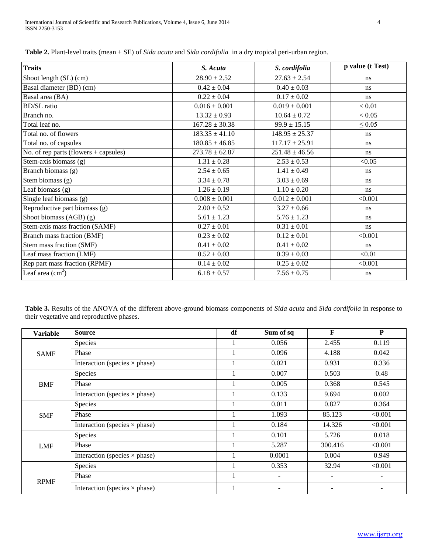| <b>Traits</b>                           | S. Acuta           | S. cordifolia      | p value (t Test) |
|-----------------------------------------|--------------------|--------------------|------------------|
| Shoot length (SL) (cm)                  | $28.90 \pm 2.52$   | $27.63 \pm 2.54$   | ns               |
| Basal diameter (BD) (cm)                | $0.42 \pm 0.04$    | $0.40 \pm 0.03$    | ns               |
| Basal area (BA)                         | $0.22 \pm 0.04$    | $0.17 \pm 0.02$    | ns               |
| <b>BD/SL</b> ratio                      | $0.016 \pm 0.001$  | $0.019 \pm 0.001$  | < 0.01           |
| Branch no.                              | $13.32 \pm 0.93$   | $10.64 \pm 0.72$   | < 0.05           |
| Total leaf no.                          | $167.28 \pm 30.38$ | $99.9 \pm 15.15$   | $\leq 0.05$      |
| Total no. of flowers                    | $183.35 \pm 41.10$ | $148.95 \pm 25.37$ | ns               |
| Total no. of capsules                   | $180.85 \pm 46.85$ | $117.17 \pm 25.91$ | ns               |
| No. of rep parts (flowers $+$ capsules) | $273.78 \pm 62.87$ | $251.48 \pm 46.56$ | ns               |
| Stem-axis biomass (g)                   | $1.31 \pm 0.28$    | $2.53 \pm 0.53$    | < 0.05           |
| Branch biomass (g)                      | $2.54 \pm 0.65$    | $1.41 \pm 0.49$    | ns               |
| Stem biomass $(g)$                      | $3.34 \pm 0.78$    | $3.03 \pm 0.69$    | ns               |
| Leaf biomass (g)                        | $1.26 \pm 0.19$    | $1.10 \pm 0.20$    | ns               |
| Single leaf biomass (g)                 | $0.008 \pm 0.001$  | $0.012 \pm 0.001$  | < 0.001          |
| Reproductive part biomass (g)           | $2.00 \pm 0.52$    | $3.27 \pm 0.66$    | ns               |
| Shoot biomass $(AGB)$ (g)               | $5.61 \pm 1.23$    | $5.76 \pm 1.23$    | ns               |
| Stem-axis mass fraction (SAMF)          | $0.27 \pm 0.01$    | $0.31 \pm 0.01$    | ns               |
| Branch mass fraction (BMF)              | $0.23 \pm 0.02$    | $0.12 \pm 0.01$    | < 0.001          |
| Stem mass fraction (SMF)                | $0.41 \pm 0.02$    | $0.41 \pm 0.02$    | ns               |
| Leaf mass fraction (LMF)                | $0.52 \pm 0.03$    | $0.39 \pm 0.03$    | < 0.01           |
| Rep part mass fraction (RPMF)           | $0.14 \pm 0.02$    | $0.25 \pm 0.02$    | < 0.001          |
| Leaf area $(cm2)$                       | $6.18 \pm 0.57$    | $7.56 \pm 0.75$    | ns               |

**Table 2.** Plant-level traits (mean ± SE) of *Sida acuta* and *Sida cordifolia* in a dry tropical peri-urban region.

**Table 3.** Results of the ANOVA of the different above-ground biomass components of *Sida acuta* and *Sida cordifolia* in response to their vegetative and reproductive phases.

| <b>Variable</b> | <b>Source</b>                        | df | Sum of sq                | F                        | $\mathbf{P}$ |
|-----------------|--------------------------------------|----|--------------------------|--------------------------|--------------|
|                 | Species                              |    | 0.056                    | 2.455                    | 0.119        |
| <b>SAMF</b>     | Phase                                |    | 0.096                    | 4.188                    | 0.042        |
|                 | Interaction (species $\times$ phase) |    | 0.021                    | 0.931                    | 0.336        |
|                 | Species                              |    | 0.007                    | 0.503                    | 0.48         |
| <b>BMF</b>      | Phase                                |    | 0.005                    | 0.368                    | 0.545        |
|                 | Interaction (species $\times$ phase) |    | 0.133                    | 9.694                    | 0.002        |
|                 | Species                              |    | 0.011                    | 0.827                    | 0.364        |
| <b>SMF</b>      | Phase                                |    | 1.093                    | 85.123                   | < 0.001      |
|                 | Interaction (species $\times$ phase) |    | 0.184                    | 14.326                   | < 0.001      |
|                 | Species                              |    | 0.101                    | 5.726                    | 0.018        |
| <b>LMF</b>      | Phase                                |    | 5.287                    | 300.416                  | < 0.001      |
|                 | Interaction (species $\times$ phase) |    | 0.0001                   | 0.004                    | 0.949        |
|                 | Species                              |    | 0.353                    | 32.94                    | < 0.001      |
|                 | Phase                                |    | $\overline{\phantom{a}}$ | $\overline{\phantom{a}}$ |              |
| <b>RPMF</b>     | Interaction (species $\times$ phase) |    |                          |                          |              |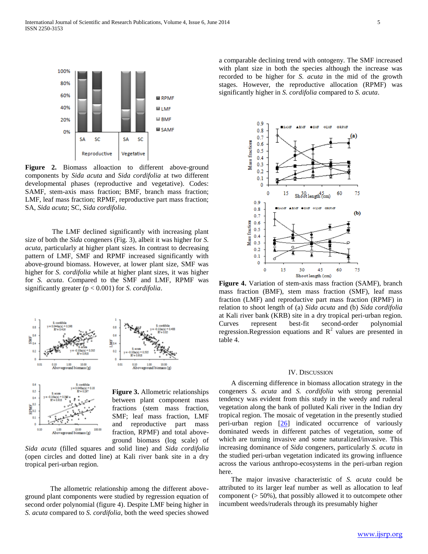

**Figure 2.** Biomass alloaction to different above-ground components by *Sida acuta* and *Sida cordifolia* at two different developmental phases (reproductive and vegetative). Codes: SAMF, stem-axis mass fraction; BMF, branch mass fraction; LMF, leaf mass fraction; RPMF, reproductive part mass fraction; SA, *Sida acuta*; SC, *Sida cordifolia*.

The LMF declined significantly with increasing plant size of both the *Sida* congeners (Fig. 3), albeit it was higher for *S. acuta,* particularly at higher plant sizes*.* In contrast to decreasing pattern of LMF, SMF and RPMF increased significantly with above-ground biomass. However, at lower plant size, SMF was higher for *S. cordifolia* while at higher plant sizes, it was higher for *S. acuta*. Compared to the SMF and LMF, RPMF was significantly greater (p < 0.001) for *S. cordifolia*.





**Figure 3.** Allometric relationships between plant component mass fractions (stem mass fraction, SMF; leaf mass fraction, LMF and reproductive part mass fraction, RPMF) and total aboveground biomass (log scale) of

*Sida acuta* (filled squares and solid line) and *Sida cordifolia* (open circles and dotted line) at Kali river bank site in a dry tropical peri-urban region.

The allometric relationship among the different aboveground plant components were studied by regression equation of second order polynomial (figure 4). Despite LMF being higher in *S. acuta* compared to *S. cordifolia*, both the weed species showed

a comparable declining trend with ontogeny. The SMF increased with plant size in both the species although the increase was recorded to be higher for *S. acuta* in the mid of the growth stages. However, the reproductive allocation (RPMF) was significantly higher in *S. cordifolia* compared to *S. acuta*.



**Figure 4.** Variation of stem-axis mass fraction (SAMF), branch mass fraction (BMF), stem mass fraction (SMF), leaf mass fraction (LMF) and reproductive part mass fraction (RPMF) in relation to shoot length of (a) *Sida acuta* and (b) *Sida cordifolia* at Kali river bank (KRB) site in a dry tropical peri-urban region. Curves represent best-fit second-order polynomial regression.Regression equations and  $R^2$  values are presented in table 4.

#### IV. DISCUSSION

 A discerning difference in biomass allocation strategy in the congeners *S. acuta* and *S. cordifolia* with strong perennial tendency was evident from this study in the weedy and ruderal vegetation along the bank of polluted Kali river in the Indian dry tropical region. The mosaic of vegetation in the presently studied peri-urban region  $[26]$  indicated occurrence of variously dominated weeds in different patches of vegetation, some of which are turning invasive and some naturalized/invasive. This increasing dominance of *Sida* congeners, particularly *S. acuta* in the studied peri-urban vegetation indicated its growing influence across the various anthropo-ecosystems in the peri-urban region here.

 The major invasive characteristic of *S. acuta* could be attributed to its larger leaf number as well as allocation to leaf component (> 50%), that possibly allowed it to outcompete other incumbent weeds/ruderals through its presumably higher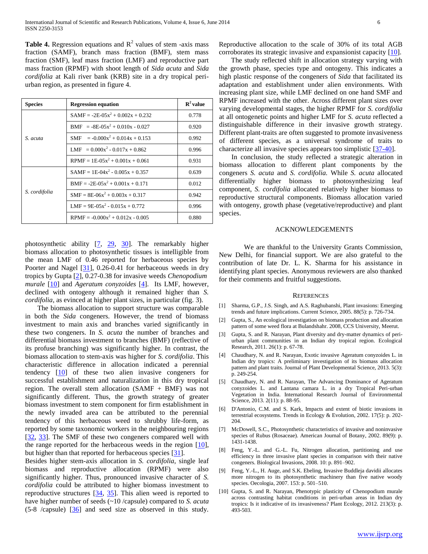**Table 4.** Regression equations and  $R^2$  values of stem -axis mass fraction (SAMF), branch mass fraction (BMF), stem mass fraction (SMF), leaf mass fraction (LMF) and reproductive part mass fraction (RPMF) with shoot length of *Sida acuta* and *Sida cordifolia* at Kali river bank (KRB) site in a dry tropical periurban region, as presented in figure 4.

| <b>Species</b> | <b>Regression equation</b>             | ${\bf R}^2$ value |
|----------------|----------------------------------------|-------------------|
|                | $SAMF = -2E-05x^2 + 0.002x + 0.232$    | 0.778             |
| S. acuta       | $BMF = -8E - 0.05x^2 + 0.010x - 0.027$ | 0.920             |
|                | $SMF = -0.000x^2 + 0.014x + 0.153$     | 0.992             |
|                | $LMF = 0.000x^2 - 0.017x + 0.862$      | 0.996             |
|                | $RPMF = 1E-0.5x^2 + 0.001x + 0.061$    | 0.931             |
| S. cordifolia  | $SAMF = 1E-04x^2 - 0.005x + 0.357$     | 0.639             |
|                | $BME = -2E - 0.05x^2 + 0.001x + 0.171$ | 0.012             |
|                | $SMF = 8E-06x^2 + 0.003x + 0.317$      | 0.942             |
|                | $LMF = 9E-05x^2 - 0.015x + 0.772$      | 0.996             |
|                | $RPMF = -0.000x^2 + 0.012x - 0.005$    | 0.880             |

photosynthetic ability  $[7, 29, 30]$ . The remarkably higher biomass allocation to photosynthetic tissues is intelligible from the mean LMF of 0.46 reported for herbaceous species by Poorter and Nagel [31], 0.26-0.41 for herbaceous weeds in dry tropics by Gupta [2], 0.27-0.38 for invasive weeds *Chenopodium murale* [10] and *Ageratum conyzoides* [4]. Its LMF, however, declined with ontogeny although it remained higher than *S. cordifolia*, as evinced at higher plant sizes, in particular (fig. 3).

 The biomass allocation to support structure was comparable in both the *Sida* congeners. However, the trend of biomass investment to main axis and branches varied significantly in these two congeners. In *S. acuta* the number of branches and differential biomass investment to branches (BMF) (reflective of its profuse branching) was significantly higher. In contrast, the biomass allocation to stem-axis was higher for *S. cordifolia*. This characteristic difference in allocation indicated a perennial tendency [10] of these two alien invasive congeners for successful establishment and naturalization in this dry tropical region. The overall stem allocation (SAMF + BMF) was not significantly different. Thus, the growth strategy of greater biomass investment to stem component for firm establishment in the newly invaded area can be attributed to the perennial tendency of this herbaceous weed to shrubby life-form, as reported by some taxonomic workers in the neighbouring regions [32, 33]. The SMF of these two congeners compared well with the range reported for the herbaceous weeds in the region [10], but higher than that reported for herbaceous species [31].

Besides higher stem-axis allocation in *S. cordifolia*, single leaf biomass and reproductive allocation (RPMF) were also significantly higher. Thus, pronounced invasive character of *S. cordifolia* could be attributed to higher biomass investment to reproductive structures [34, 35]. This alien weed is reported to have higher number of seeds (~10 /capsule) compared to *S. acuta* (5-8 /capsule) [36] and seed size as observed in this study.

Reproductive allocation to the scale of 30% of its total AGB corroborates its strategic invasive and expansionist capacity [10].

 The study reflected shift in allocation strategy varying with the growth phase, species type and ontogeny. This indicates a high plastic response of the congeners of *Sida* that facilitated its adaptation and establishment under alien environments. With increasing plant size, while LMF declined on one hand SMF and RPMF increased with the other. Across different plant sizes over varying developmental stages, the higher RPMF for *S. cordifolia* at all ontogenetic points and higher LMF for *S. acuta* reflected a distinguishable difference in their invasive growth strategy. Different plant-traits are often suggested to promote invasiveness of different species, as a universal syndrome of traits to characterize all invasive species appears too simplistic [37-40].

 In conclusion, the study reflected a strategic alteration in biomass allocation to different plant components by the congeners *S. acuta* and *S. cordifolia.* While *S. acuta* allocated differentially higher biomass to photosynthesizing leaf component, *S. cordifolia* allocated relatively higher biomass to reproductive structural components. Biomass allocation varied with ontogeny, growth phase (vegetative/reproductive) and plant species.

## ACKNOWLEDGEMENTS

We are thankful to the University Grants Commission, New Delhi, for financial support. We are also grateful to the contribution of late Dr. L. K. Sharma for his assistance in identifying plant species. Anonymous reviewers are also thanked for their comments and fruitful suggestions.

#### **REFERENCES**

- [1] Sharma, G.P., J.S. Singh, and A.S. Raghubanshi, Plant invasions: Emerging trends and future implications. Current Science, 2005. 88(5): p. 726-734.
- [2] Gupta, S., An ecological investigation on biomass production and allocation pattern of some weed flora at Bulandshahr. 2008, CCS University, Meerut.
- [3] Gupta, S. and R. Narayan, Plant diversity and dry-matter dynamics of periurban plant communities in an Indian dry tropical region. Ecological Research, 2011. 26(1): p. 67-78.
- [4] Chaudhary, N. and R. Narayan, Exotic invasive Ageratum conyzoides L. in Indian dry tropics: A preliminary investigation of its biomass allocation pattern and plant traits. Journal of Plant Developmental Science, 2013. 5(3): p. 249-254.
- [5] Chaudhary, N. and R. Narayan, The Advancing Dominance of Ageratum conyzoides L. and Lantana camara L. in a dry Tropical Peri-urban Vegetation in India. International Research Journal of Environmental Science, 2013. 2(11): p. 88-95.
- [6] D'Antonio, C.M. and S. Kark, Impacts and extent of biotic invasions in terrestrial ecosystems. Trends in Ecology & Evolution, 2002. 17(5): p. 202- 204.
- [7] McDowell, S.C., Photosynthetic characteristics of invasive and noninvasive species of Rubus (Rosaceae). American Journal of Botany, 2002. 89(9): p. 1431-1438.
- [8] Feng, Y.-L. and G.-L. Fu, Nitrogen allocation, partitioning and use efficiency in three invasive plant species in comparison with their native congeners. Biological Invasions, 2008. 10: p. 891–902.
- [9] Feng, Y.-L., H. Auge, and S.K. Ebeling, Invasive Buddleja davidii allocates more nitrogen to its photosynthetic machinery than five native woody species. Oecologia, 2007. 153: p. 501–510.
- [10] Gupta, S. and R. Narayan, Phenotypic plasticity of Chenopodium murale across contrasting habitat conditions in peri-urban areas in Indian dry tropics: Is it indicative of its invasiveness? Plant Ecology, 2012. 213(3): p. 493-503.